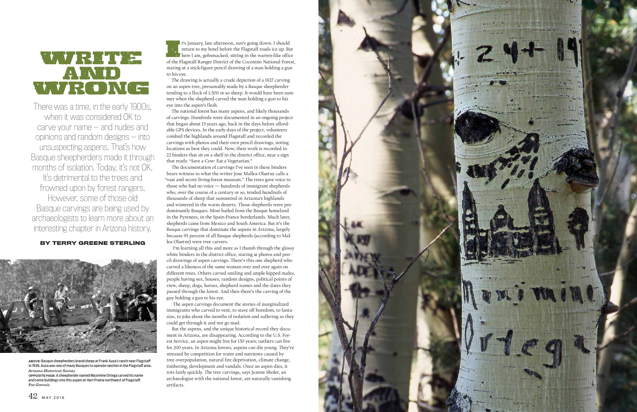

There was a time, in the early 1900s, when it was considered OK to carve your name — and nudes and opinions and random designs — into unsuspecting aspens. That's how Basque sheepherders made it through months of isolation. Today, it's not OK. It's detrimental to the trees and frowned upon by forest rangers. However, some of those old Basque carvings are being used by archaeologists to learn more about an interesting chapter in Arizona history.

It's January, late afternoon, sun's going down. I should return to my hotel before the Flagstaff roads ice up. But here I am, gobsmacked, sitting in the warren-like office of the Flagstaff Ranger District of the Coconino N return to my hotel before the Flagstaff roads ice up. But **here I am, gobsmacked, sitting in the warren-like office** staring at a stick-figure pencil drawing of a man holding a gun to his eye.

**BY TERRY GREENE STERLING**



The drawing is actually a crude depiction of a 1927 carving on an aspen tree, presumably made by a Basque sheepherder tending to a flock of 1,500 or so sheep. It would have been sum mer when the shepherd carved the man holding a gun to his eye into the aspen's flesh.

The national forest has many aspens, and likely thousands of carvings. Hundreds were documented in an ongoing project that began about 15 years ago, back in the days before afford able GPS devices. In the early days of the project, volunteers combed the highlands around Flagstaff and recorded the carvings with photos and their own pencil drawings, noting locations as best they could. Now, their work is recorded in 22 binders that sit on a shelf in the district office, near a sign that reads: "Save a Cow: Eat a Vegetarian."

The documentation of carvings I've seen in these binders bears witness to what the writer Joxe Mallea-Olaetxe calls a "vast and secret living-forest museum." The trees gave voice to those who had no voice — hundreds of immigrant shepherds who, over the course of a century or so, tended hundreds of thousands of sheep that summered in Arizona's highlands and wintered in the warm deserts. Those shepherds were pre dominantly Basques. Most hailed from the Basque homeland in the Pyrenees, in the Spain-France borderlands. Much later, shepherds came from Mexico and South America. But it's the Basque carvings that dominate the aspens in Arizona, largely because 95 percent of all Basque shepherds (according to Mal lea-Olaetxe) were tree carvers.

 I'm learning all this and more as I thumb through the glossy white binders in the district office, staring at photos and pen cil drawings of aspen carvings. There's this one shepherd who carved a likeness of the same woman over and over again on different trees. Others carved smiling and ample-hipped nudes, people having sex, houses, random designs, political points of view, sheep, dogs, horses, shepherd names and the dates they passed through the forest. And then there's the carving of the guy holding a gun to his eye.

 The aspen carvings document the stories of marginalized immigrants who carved to vent, to stave off boredom, to fanta size, to joke about the months of isolation and suffering so they could get through it and not go mad.

But the aspens, and the unique historical record they docu ment in Arizona, are disappearing. According to the U.S. For est Service, an aspen might live for 150 years; outliers can live for 200 years. In Arizona forests, aspens can die young. They're stressed by competition for water and nutrients caused by tree overpopulation, natural fire deprivation, climate change, timbering, development and vandals. Once an aspen dies, it rots fairly quickly. The tree carvings, says Jeanne Shofer, an archaeologist with the national forest, are naturally vanishing artifacts.

**ABOVE:** Basque sheepherders brand sheep at Frank Auza's ranch near Flagstaff in 1936. Auza was one of many Basques to operate ranches in the Flagstaff area. *Arizona Historical Society*

**OPPOSITE PAGE:** A sheepherder named Maximine Ortega carved his name and some buildings into this aspen at Hart Prairie northwest of Flagstaff. *Pat Gorraiz*